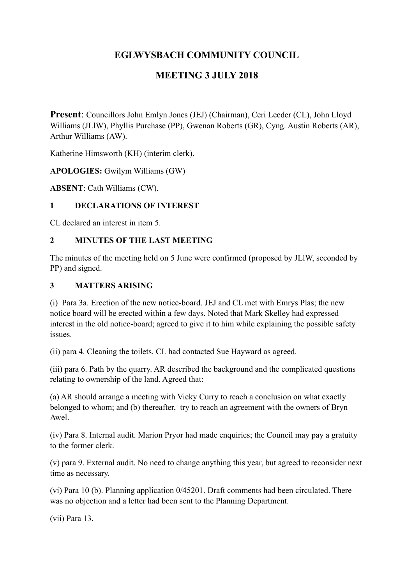# **EGLWYSBACH COMMUNITY COUNCIL**

# **MEETING 3 JULY 2018**

**Present**: Councillors John Emlyn Jones (JEJ) (Chairman), Ceri Leeder (CL), John Lloyd Williams (JLlW), Phyllis Purchase (PP), Gwenan Roberts (GR), Cyng. Austin Roberts (AR), Arthur Williams (AW).

Katherine Himsworth (KH) (interim clerk).

**APOLOGIES:** Gwilym Williams (GW)

**ABSENT**: Cath Williams (CW).

## **1 DECLARATIONS OF INTEREST**

CL declared an interest in item 5.

## **2 MINUTES OF THE LAST MEETING**

The minutes of the meeting held on 5 June were confirmed (proposed by JLlW, seconded by PP) and signed.

## **3 MATTERS ARISING**

(i) Para 3a. Erection of the new notice-board. JEJ and CL met with Emrys Plas; the new notice board will be erected within a few days. Noted that Mark Skelley had expressed interest in the old notice-board; agreed to give it to him while explaining the possible safety issues.

(ii) para 4. Cleaning the toilets. CL had contacted Sue Hayward as agreed.

(iii) para 6. Path by the quarry. AR described the background and the complicated questions relating to ownership of the land. Agreed that:

(a) AR should arrange a meeting with Vicky Curry to reach a conclusion on what exactly belonged to whom; and (b) thereafter, try to reach an agreement with the owners of Bryn Awel.

(iv) Para 8. Internal audit. Marion Pryor had made enquiries; the Council may pay a gratuity to the former clerk.

(v) para 9. External audit. No need to change anything this year, but agreed to reconsider next time as necessary.

(vi) Para 10 (b). Planning application 0/45201. Draft comments had been circulated. There was no objection and a letter had been sent to the Planning Department.

(vii) Para 13.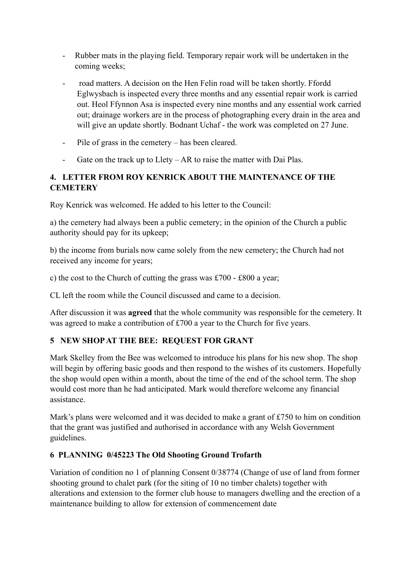- Rubber mats in the playing field. Temporary repair work will be undertaken in the coming weeks;
- road matters. A decision on the Hen Felin road will be taken shortly. Ffordd Eglwysbach is inspected every three months and any essential repair work is carried out. Heol Ffynnon Asa is inspected every nine months and any essential work carried out; drainage workers are in the process of photographing every drain in the area and will give an update shortly. Bodnant Uchaf - the work was completed on 27 June.
- Pile of grass in the cemetery has been cleared.
- Gate on the track up to Llety AR to raise the matter with Dai Plas.

## **4. LETTER FROM ROY KENRICK ABOUT THE MAINTENANCE OF THE CEMETERY**

Roy Kenrick was welcomed. He added to his letter to the Council:

a) the cemetery had always been a public cemetery; in the opinion of the Church a public authority should pay for its upkeep;

b) the income from burials now came solely from the new cemetery; the Church had not received any income for years;

c) the cost to the Church of cutting the grass was £700 - £800 a year;

CL left the room while the Council discussed and came to a decision.

After discussion it was **agreed** that the whole community was responsible for the cemetery. It was agreed to make a contribution of £700 a year to the Church for five years.

# **5 NEW SHOP AT THE BEE: REQUEST FOR GRANT**

Mark Skelley from the Bee was welcomed to introduce his plans for his new shop. The shop will begin by offering basic goods and then respond to the wishes of its customers. Hopefully the shop would open within a month, about the time of the end of the school term. The shop would cost more than he had anticipated. Mark would therefore welcome any financial assistance.

Mark's plans were welcomed and it was decided to make a grant of  $\text{\pounds}750$  to him on condition that the grant was justified and authorised in accordance with any Welsh Government guidelines.

## **6 PLANNING 0/45223 The Old Shooting Ground Trofarth**

Variation of condition no 1 of planning Consent 0/38774 (Change of use of land from former shooting ground to chalet park (for the siting of 10 no timber chalets) together with alterations and extension to the former club house to managers dwelling and the erection of a maintenance building to allow for extension of commencement date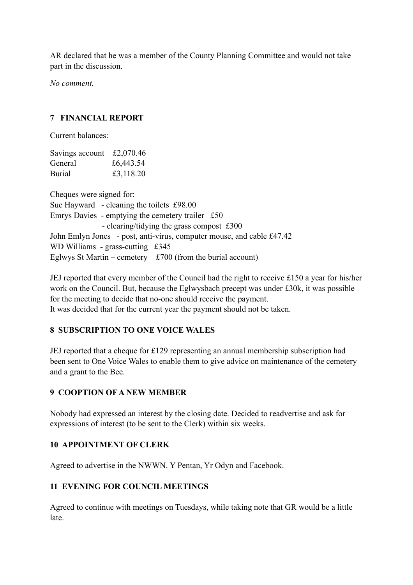AR declared that he was a member of the County Planning Committee and would not take part in the discussion.

*No comment.* 

## **7 FINANCIAL REPORT**

Current balances:

| Savings account £2,070.46 |           |
|---------------------------|-----------|
| General                   | £6,443.54 |
| <b>Burial</b>             | £3,118.20 |

Cheques were signed for: Sue Hayward - cleaning the toilets £98.00 Emrys Davies - emptying the cemetery trailer £50 - clearing/tidying the grass compost £300 John Emlyn Jones - post, anti-virus, computer mouse, and cable £47.42 WD Williams - grass-cutting £345 Eglwys St Martin – cemetery  $£700$  (from the burial account)

JEJ reported that every member of the Council had the right to receive £150 a year for his/her work on the Council. But, because the Eglwysbach precept was under £30k, it was possible for the meeting to decide that no-one should receive the payment. It was decided that for the current year the payment should not be taken.

## **8 SUBSCRIPTION TO ONE VOICE WALES**

JEJ reported that a cheque for £129 representing an annual membership subscription had been sent to One Voice Wales to enable them to give advice on maintenance of the cemetery and a grant to the Bee.

#### **9 COOPTION OF A NEW MEMBER**

Nobody had expressed an interest by the closing date. Decided to readvertise and ask for expressions of interest (to be sent to the Clerk) within six weeks.

## **10 APPOINTMENT OF CLERK**

Agreed to advertise in the NWWN. Y Pentan, Yr Odyn and Facebook.

## **11 EVENING FOR COUNCIL MEETINGS**

Agreed to continue with meetings on Tuesdays, while taking note that GR would be a little late.